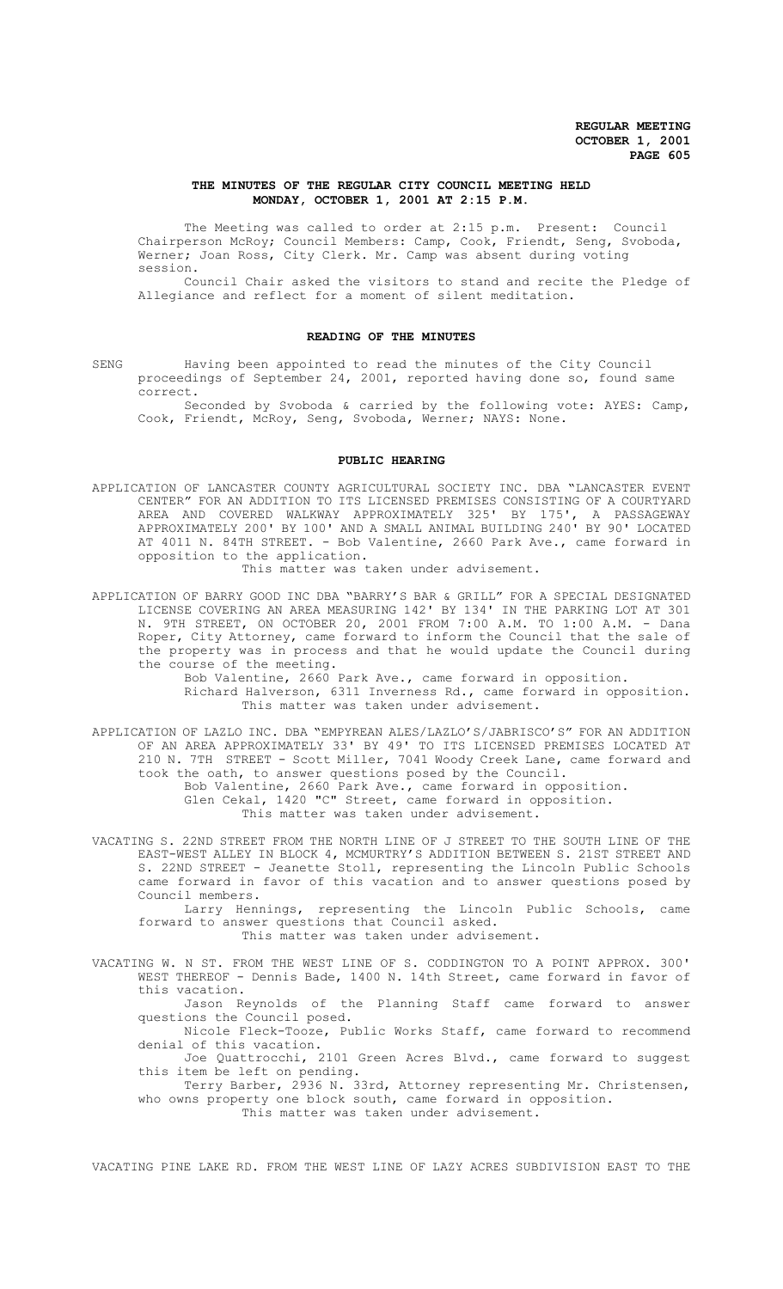## **THE MINUTES OF THE REGULAR CITY COUNCIL MEETING HELD MONDAY, OCTOBER 1, 2001 AT 2:15 P.M.**

The Meeting was called to order at 2:15 p.m. Present: Council Chairperson McRoy; Council Members: Camp, Cook, Friendt, Seng, Svoboda, Werner; Joan Ross, City Clerk. Mr. Camp was absent during voting session.

Council Chair asked the visitors to stand and recite the Pledge of Allegiance and reflect for a moment of silent meditation.

# **READING OF THE MINUTES**

SENG Having been appointed to read the minutes of the City Council proceedings of September 24, 2001, reported having done so, found same correct.

Seconded by Svoboda & carried by the following vote: AYES: Camp, Cook, Friendt, McRoy, Seng, Svoboda, Werner; NAYS: None.

# **PUBLIC HEARING**

APPLICATION OF LANCASTER COUNTY AGRICULTURAL SOCIETY INC. DBA "LANCASTER EVENT CENTER" FOR AN ADDITION TO ITS LICENSED PREMISES CONSISTING OF A COURTYARD AREA AND COVERED WALKWAY APPROXIMATELY 325' BY 175', A PASSAGEWAY APPROXIMATELY 200' BY 100' AND A SMALL ANIMAL BUILDING 240' BY 90' LOCATED AT 4011 N. 84TH STREET. - Bob Valentine, 2660 Park Ave., came forward in opposition to the application.

This matter was taken under advisement.

APPLICATION OF BARRY GOOD INC DBA "BARRY'S BAR & GRILL" FOR A SPECIAL DESIGNATED LICENSE COVERING AN AREA MEASURING 142' BY 134' IN THE PARKING LOT AT 301 N. 9TH STREET, ON OCTOBER 20, 2001 FROM 7:00 A.M. TO 1:00 A.M. - Dana Roper, City Attorney, came forward to inform the Council that the sale of the property was in process and that he would update the Council during the course of the meeting.

Bob Valentine, 2660 Park Ave., came forward in opposition. Richard Halverson, 6311 Inverness Rd., came forward in opposition. This matter was taken under advisement.

APPLICATION OF LAZLO INC. DBA "EMPYREAN ALES/LAZLO'S/JABRISCO'S" FOR AN ADDITION OF AN AREA APPROXIMATELY 33' BY 49' TO ITS LICENSED PREMISES LOCATED AT 210 N. 7TH STREET - Scott Miller, 7041 Woody Creek Lane, came forward and took the oath, to answer questions posed by the Council. Bob Valentine, 2660 Park Ave., came forward in opposition. Glen Cekal, 1420 "C" Street, came forward in opposition. This matter was taken under advisement.

VACATING S. 22ND STREET FROM THE NORTH LINE OF J STREET TO THE SOUTH LINE OF THE EAST-WEST ALLEY IN BLOCK 4, MCMURTRY'S ADDITION BETWEEN S. 21ST STREET AND S. 22ND STREET - Jeanette Stoll, representing the Lincoln Public Schools came forward in favor of this vacation and to answer questions posed by Council members.

Larry Hennings, representing the Lincoln Public Schools, came forward to answer questions that Council asked. This matter was taken under advisement.

VACATING W. N ST. FROM THE WEST LINE OF S. CODDINGTON TO A POINT APPROX. 300'

WEST THEREOF - Dennis Bade, 1400 N. 14th Street, came forward in favor of this vacation. Jason Reynolds of the Planning Staff came forward to answer

questions the Council posed.

Nicole Fleck-Tooze, Public Works Staff, came forward to recommend denial of this vacation.

Joe Quattrocchi, 2101 Green Acres Blvd., came forward to suggest this item be left on pending.

Terry Barber, 2936 N. 33rd, Attorney representing Mr. Christensen, who owns property one block south, came forward in opposition. This matter was taken under advisement.

VACATING PINE LAKE RD. FROM THE WEST LINE OF LAZY ACRES SUBDIVISION EAST TO THE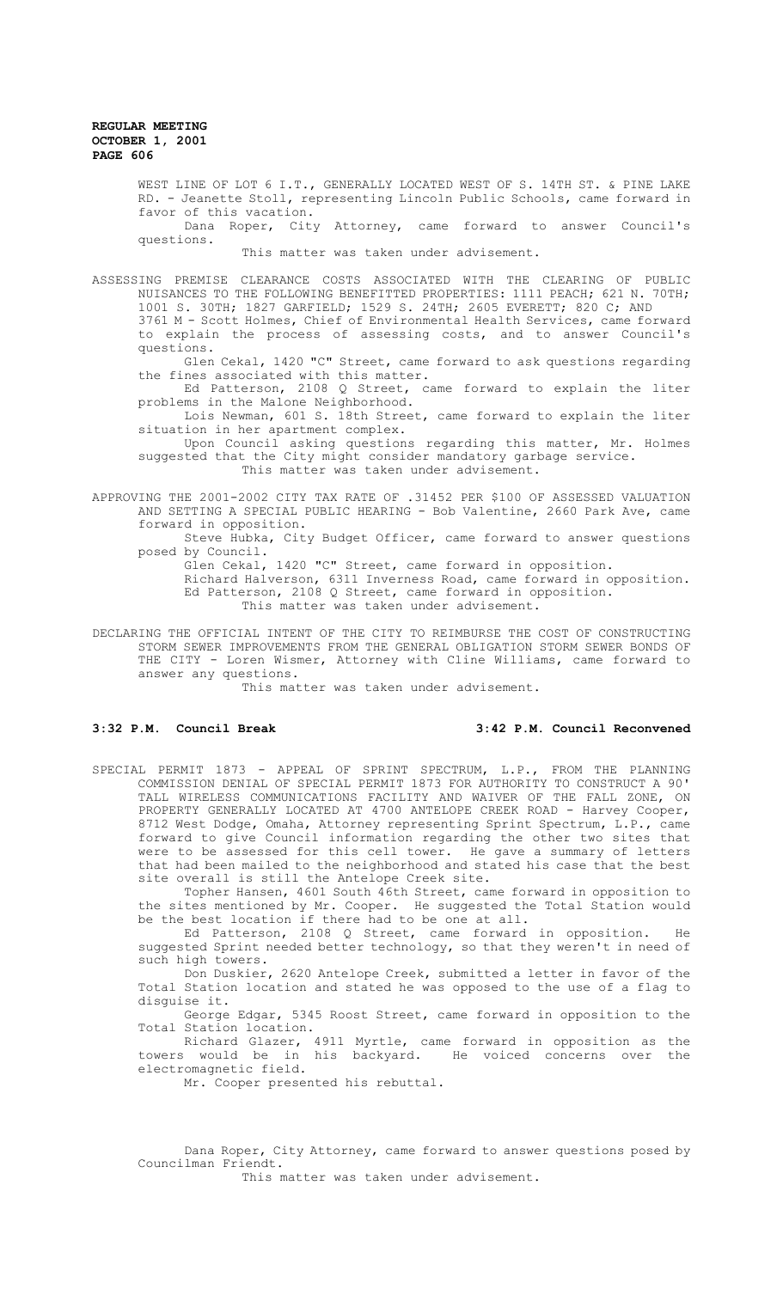WEST LINE OF LOT 6 I.T., GENERALLY LOCATED WEST OF S. 14TH ST. & PINE LAKE RD. - Jeanette Stoll, representing Lincoln Public Schools, came forward in favor of this vacation.

Dana Roper, City Attorney, came forward to answer Council's questions.

This matter was taken under advisement.

ASSESSING PREMISE CLEARANCE COSTS ASSOCIATED WITH THE CLEARING OF PUBLIC NUISANCES TO THE FOLLOWING BENEFITTED PROPERTIES: 1111 PEACH; 621 N. 70TH; 1001 S. 30TH; 1827 GARFIELD; 1529 S. 24TH; 2605 EVERETT; 820 C; AND

3761 M - Scott Holmes, Chief of Environmental Health Services, came forward to explain the process of assessing costs, and to answer Council's questions.

Glen Cekal, 1420 "C" Street, came forward to ask questions regarding the fines associated with this matter.

Ed Patterson, 2108 Q Street, came forward to explain the liter problems in the Malone Neighborhood.

Lois Newman, 601 S. 18th Street, came forward to explain the liter situation in her apartment complex.

Upon Council asking questions regarding this matter, Mr. Holmes suggested that the City might consider mandatory garbage service. This matter was taken under advisement.

APPROVING THE 2001-2002 CITY TAX RATE OF .31452 PER \$100 OF ASSESSED VALUATION AND SETTING A SPECIAL PUBLIC HEARING - Bob Valentine, 2660 Park Ave, came forward in opposition.

Steve Hubka, City Budget Officer, came forward to answer questions posed by Council.

Glen Cekal, 1420 "C" Street, came forward in opposition.

Richard Halverson, 6311 Inverness Road, came forward in opposition. Ed Patterson, 2108 Q Street, came forward in opposition.

This matter was taken under advisement.

DECLARING THE OFFICIAL INTENT OF THE CITY TO REIMBURSE THE COST OF CONSTRUCTING STORM SEWER IMPROVEMENTS FROM THE GENERAL OBLIGATION STORM SEWER BONDS OF THE CITY - Loren Wismer, Attorney with Cline Williams, came forward to answer any questions.

This matter was taken under advisement.

# **3:32 P.M. Council Break 3:42 P.M. Council Reconvened**

SPECIAL PERMIT 1873 - APPEAL OF SPRINT SPECTRUM, L.P., FROM THE PLANNING COMMISSION DENIAL OF SPECIAL PERMIT 1873 FOR AUTHORITY TO CONSTRUCT A 90' TALL WIRELESS COMMUNICATIONS FACILITY AND WAIVER OF THE FALL ZONE, ON PROPERTY GENERALLY LOCATED AT 4700 ANTELOPE CREEK ROAD - Harvey Cooper, 8712 West Dodge, Omaha, Attorney representing Sprint Spectrum, L.P., came forward to give Council information regarding the other two sites that were to be assessed for this cell tower. He gave a summary of letters that had been mailed to the neighborhood and stated his case that the best site overall is still the Antelope Creek site.

Topher Hansen, 4601 South 46th Street, came forward in opposition to the sites mentioned by Mr. Cooper. He suggested the Total Station would be the best location if there had to be one at all.

Ed Patterson, 2108 Q Street, came forward in opposition. He suggested Sprint needed better technology, so that they weren't in need of such high towers.

Don Duskier, 2620 Antelope Creek, submitted a letter in favor of the Total Station location and stated he was opposed to the use of a flag to disguise it.

George Edgar, 5345 Roost Street, came forward in opposition to the Total Station location.

Richard Glazer, 4911 Myrtle, came forward in opposition as the towers would be in his backyard. He voiced concerns over the electromagnetic field.

Mr. Cooper presented his rebuttal.

Dana Roper, City Attorney, came forward to answer questions posed by Councilman Friendt.

This matter was taken under advisement.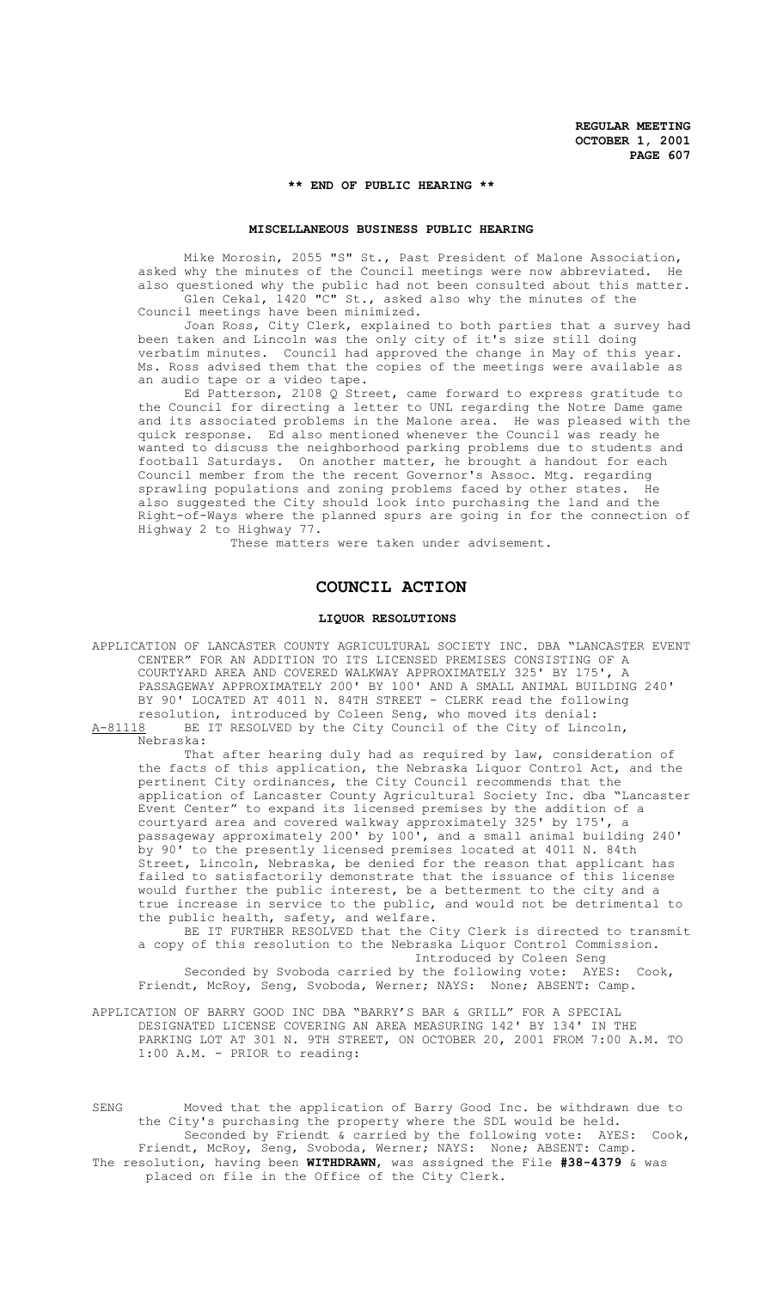# **\*\* END OF PUBLIC HEARING \*\***

## **MISCELLANEOUS BUSINESS PUBLIC HEARING**

Mike Morosin, 2055 "S" St., Past President of Malone Association, asked why the minutes of the Council meetings were now abbreviated. He also questioned why the public had not been consulted about this matter. Glen Cekal, 1420 "C" St., asked also why the minutes of the

Council meetings have been minimized.

Joan Ross, City Clerk, explained to both parties that a survey had been taken and Lincoln was the only city of it's size still doing verbatim minutes. Council had approved the change in May of this year. Ms. Ross advised them that the copies of the meetings were available as an audio tape or a video tape.

Ed Patterson, 2108 Q Street, came forward to express gratitude to the Council for directing a letter to UNL regarding the Notre Dame game and its associated problems in the Malone area. He was pleased with the quick response. Ed also mentioned whenever the Council was ready he wanted to discuss the neighborhood parking problems due to students and football Saturdays. On another matter, he brought a handout for each Council member from the the recent Governor's Assoc. Mtg. regarding sprawling populations and zoning problems faced by other states. He also suggested the City should look into purchasing the land and the Right-of-Ways where the planned spurs are going in for the connection of Highway 2 to Highway 77.

These matters were taken under advisement.

## **COUNCIL ACTION**

# **LIQUOR RESOLUTIONS**

APPLICATION OF LANCASTER COUNTY AGRICULTURAL SOCIETY INC. DBA "LANCASTER EVENT CENTER" FOR AN ADDITION TO ITS LICENSED PREMISES CONSISTING OF A COURTYARD AREA AND COVERED WALKWAY APPROXIMATELY 325' BY 175', A PASSAGEWAY APPROXIMATELY 200' BY 100' AND A SMALL ANIMAL BUILDING 240' BY 90' LOCATED AT 4011 N. 84TH STREET - CLERK read the following resolution, introduced by Coleen Seng, who moved its denial: A-81118 BE IT RESOLVED by the City Council of the City of Lincoln,

Nebraska:

That after hearing duly had as required by law, consideration of the facts of this application, the Nebraska Liquor Control Act, and the pertinent City ordinances, the City Council recommends that the application of Lancaster County Agricultural Society Inc. dba "Lancaster Event Center" to expand its licensed premises by the addition of a courtyard area and covered walkway approximately 325' by 175', a passageway approximately 200' by 100', and a small animal building 240' by 90' to the presently licensed premises located at 4011 N. 84th Street, Lincoln, Nebraska, be denied for the reason that applicant has failed to satisfactorily demonstrate that the issuance of this license would further the public interest, be a betterment to the city and a true increase in service to the public, and would not be detrimental to the public health, safety, and welfare.

BE IT FURTHER RESOLVED that the City Clerk is directed to transmit a copy of this resolution to the Nebraska Liquor Control Commission. Introduced by Coleen Seng

Seconded by Svoboda carried by the following vote: AYES: Cook, Friendt, McRoy, Seng, Svoboda, Werner; NAYS: None; ABSENT: Camp.

APPLICATION OF BARRY GOOD INC DBA "BARRY'S BAR & GRILL" FOR A SPECIAL DESIGNATED LICENSE COVERING AN AREA MEASURING 142' BY 134' IN THE PARKING LOT AT 301 N. 9TH STREET, ON OCTOBER 20, 2001 FROM 7:00 A.M. TO 1:00 A.M. - PRIOR to reading:

SENG Moved that the application of Barry Good Inc. be withdrawn due to the City's purchasing the property where the SDL would be held. Seconded by Friendt & carried by the following vote: AYES: Cook, Friendt, McRoy, Seng, Svoboda, Werner; NAYS: None; ABSENT: Camp. The resolution, having been **WITHDRAWN**, was assigned the File **#38-4379** & was placed on file in the Office of the City Clerk.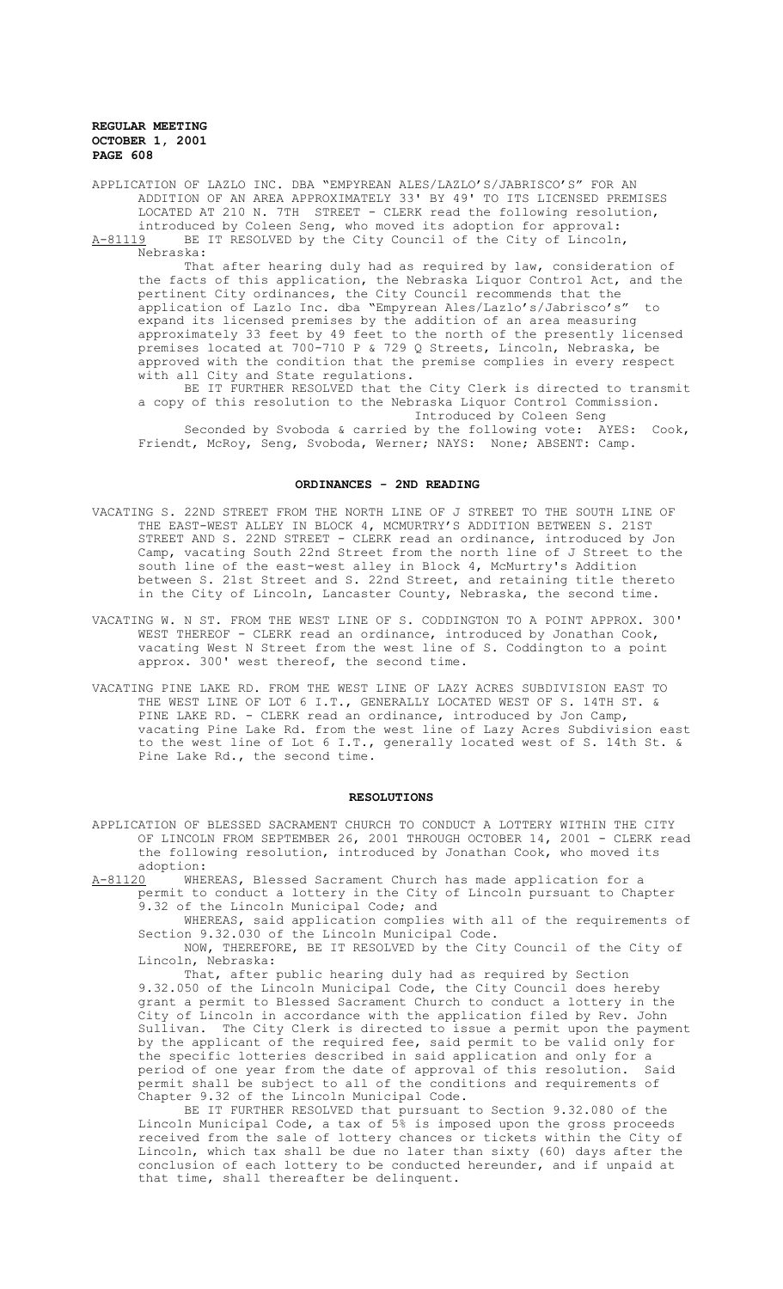APPLICATION OF LAZLO INC. DBA "EMPYREAN ALES/LAZLO'S/JABRISCO'S" FOR AN ADDITION OF AN AREA APPROXIMATELY 33' BY 49' TO ITS LICENSED PREMISES LOCATED AT 210 N. 7TH STREET - CLERK read the following resolution, introduced by Coleen Seng, who moved its adoption for approval: A-81119 BE IT RESOLVED by the City Council of the City of Lincoln, Nebraska:

That after hearing duly had as required by law, consideration of the facts of this application, the Nebraska Liquor Control Act, and the pertinent City ordinances, the City Council recommends that the application of Lazlo Inc. dba "Empyrean Ales/Lazlo's/Jabrisco's" to expand its licensed premises by the addition of an area measuring approximately 33 feet by 49 feet to the north of the presently licensed premises located at 700-710 P & 729 Q Streets, Lincoln, Nebraska, be approved with the condition that the premise complies in every respect with all City and State regulations.

BE IT FURTHER RESOLVED that the City Clerk is directed to transmit a copy of this resolution to the Nebraska Liquor Control Commission. Introduced by Coleen Seng

Seconded by Svoboda & carried by the following vote: AYES: Cook, Friendt, McRoy, Seng, Svoboda, Werner; NAYS: None; ABSENT: Camp.

# **ORDINANCES - 2ND READING**

- VACATING S. 22ND STREET FROM THE NORTH LINE OF J STREET TO THE SOUTH LINE OF THE EAST-WEST ALLEY IN BLOCK 4, MCMURTRY'S ADDITION BETWEEN S. 21ST STREET AND S. 22ND STREET - CLERK read an ordinance, introduced by Jon Camp, vacating South 22nd Street from the north line of J Street to the south line of the east-west alley in Block 4, McMurtry's Addition between S. 21st Street and S. 22nd Street, and retaining title thereto in the City of Lincoln, Lancaster County, Nebraska, the second time.
- VACATING W. N ST. FROM THE WEST LINE OF S. CODDINGTON TO A POINT APPROX. 300' WEST THEREOF - CLERK read an ordinance, introduced by Jonathan Cook, vacating West N Street from the west line of S. Coddington to a point approx. 300' west thereof, the second time.
- VACATING PINE LAKE RD. FROM THE WEST LINE OF LAZY ACRES SUBDIVISION EAST TO THE WEST LINE OF LOT 6 I.T., GENERALLY LOCATED WEST OF S. 14TH ST. & PINE LAKE RD. - CLERK read an ordinance, introduced by Jon Camp, vacating Pine Lake Rd. from the west line of Lazy Acres Subdivision east to the west line of Lot 6 I.T., generally located west of S. 14th St. & Pine Lake Rd., the second time.

#### **RESOLUTIONS**

APPLICATION OF BLESSED SACRAMENT CHURCH TO CONDUCT A LOTTERY WITHIN THE CITY OF LINCOLN FROM SEPTEMBER 26, 2001 THROUGH OCTOBER 14, 2001 - CLERK read the following resolution, introduced by Jonathan Cook, who moved its adoption:<br><u>A-81120</u> WHE

WHEREAS, Blessed Sacrament Church has made application for a permit to conduct a lottery in the City of Lincoln pursuant to Chapter 9.32 of the Lincoln Municipal Code; and

WHEREAS, said application complies with all of the requirements of Section 9.32.030 of the Lincoln Municipal Code.

NOW, THEREFORE, BE IT RESOLVED by the City Council of the City of Lincoln, Nebraska:

That, after public hearing duly had as required by Section 9.32.050 of the Lincoln Municipal Code, the City Council does hereby grant a permit to Blessed Sacrament Church to conduct a lottery in the City of Lincoln in accordance with the application filed by Rev. John Sullivan. The City Clerk is directed to issue a permit upon the payment by the applicant of the required fee, said permit to be valid only for the specific lotteries described in said application and only for a period of one year from the date of approval of this resolution. Said permit shall be subject to all of the conditions and requirements of Chapter 9.32 of the Lincoln Municipal Code.

BE IT FURTHER RESOLVED that pursuant to Section 9.32.080 of the Lincoln Municipal Code, a tax of 5% is imposed upon the gross proceeds received from the sale of lottery chances or tickets within the City of Lincoln, which tax shall be due no later than sixty (60) days after the conclusion of each lottery to be conducted hereunder, and if unpaid at that time, shall thereafter be delinquent.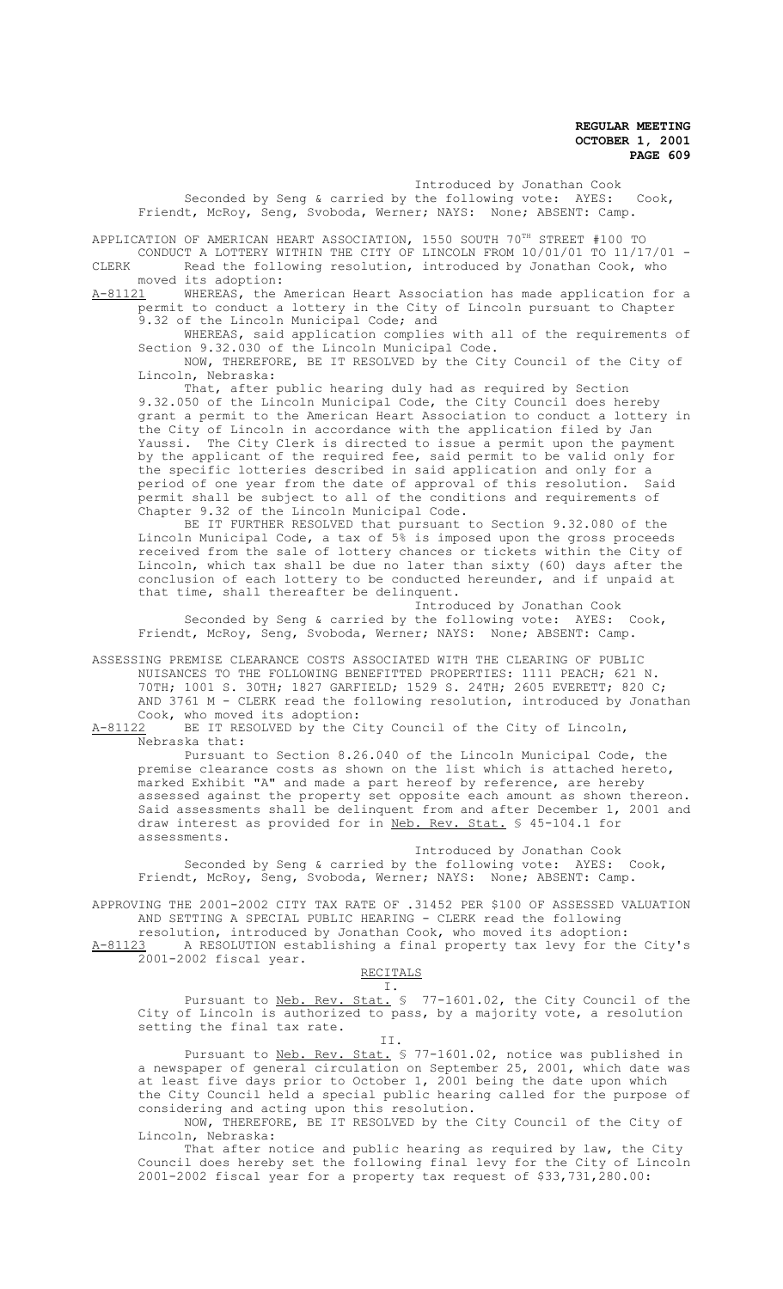Introduced by Jonathan Cook Seconded by Seng & carried by the following vote: AYES: Cook,

Friendt, McRoy, Seng, Svoboda, Werner; NAYS: None; ABSENT: Camp.

APPLICATION OF AMERICAN HEART ASSOCIATION, 1550 SOUTH 70<sup>TH</sup> STREET #100 TO CONDUCT A LOTTERY WITHIN THE CITY OF LINCOLN FROM 10/01/01 TO 11/17/01 -

CLERK Read the following resolution, introduced by Jonathan Cook, who moved its adoption:<br>A-81121 WHEREAS, the

A-81121 MHEREAS, the American Heart Association has made application for a permit to conduct a lottery in the City of Lincoln pursuant to Chapter 9.32 of the Lincoln Municipal Code; and

WHEREAS, said application complies with all of the requirements of Section 9.32.030 of the Lincoln Municipal Code.

NOW, THEREFORE, BE IT RESOLVED by the City Council of the City of Lincoln, Nebraska:

That, after public hearing duly had as required by Section 9.32.050 of the Lincoln Municipal Code, the City Council does hereby grant a permit to the American Heart Association to conduct a lottery in the City of Lincoln in accordance with the application filed by Jan Yaussi. The City Clerk is directed to issue a permit upon the payment by the applicant of the required fee, said permit to be valid only for the specific lotteries described in said application and only for a period of one year from the date of approval of this resolution. Said permit shall be subject to all of the conditions and requirements of Chapter 9.32 of the Lincoln Municipal Code.

BE IT FURTHER RESOLVED that pursuant to Section 9.32.080 of the Lincoln Municipal Code, a tax of 5% is imposed upon the gross proceeds received from the sale of lottery chances or tickets within the City of Lincoln, which tax shall be due no later than sixty (60) days after the conclusion of each lottery to be conducted hereunder, and if unpaid at that time, shall thereafter be delinquent.

Introduced by Jonathan Cook Seconded by Seng & carried by the following vote: AYES: Cook, Friendt, McRoy, Seng, Svoboda, Werner; NAYS: None; ABSENT: Camp.

ASSESSING PREMISE CLEARANCE COSTS ASSOCIATED WITH THE CLEARING OF PUBLIC NUISANCES TO THE FOLLOWING BENEFITTED PROPERTIES: 1111 PEACH; 621 N. 70TH; 1001 S. 30TH; 1827 GARFIELD; 1529 S. 24TH; 2605 EVERETT; 820 C; AND 3761 M - CLERK read the following resolution, introduced by Jonathan Cook, who moved its adoption:<br>A-81122 BE IT RESOLVED by the C

BE IT RESOLVED by the City Council of the City of Lincoln, Nebraska that:

Pursuant to Section 8.26.040 of the Lincoln Municipal Code, the premise clearance costs as shown on the list which is attached hereto, marked Exhibit "A" and made a part hereof by reference, are hereby assessed against the property set opposite each amount as shown thereon. Said assessments shall be delinquent from and after December 1, 2001 and draw interest as provided for in <u>Neb. Rev. Stat.</u> § 45-104.1 for assessments.

Introduced by Jonathan Cook Seconded by Seng & carried by the following vote: AYES: Cook, Friendt, McRoy, Seng, Svoboda, Werner; NAYS: None; ABSENT: Camp.

APPROVING THE 2001-2002 CITY TAX RATE OF .31452 PER \$100 OF ASSESSED VALUATION AND SETTING A SPECIAL PUBLIC HEARING - CLERK read the following resolution, introduced by Jonathan Cook, who moved its adoption:

A-81123 A RESOLUTION establishing a final property tax levy for the City's 2001-2002 fiscal year.

## RECITALS I.

Pursuant to <u>Neb. Rev. Stat.</u> § 77-1601.02, the City Council of the City of Lincoln is authorized to pass, by a majority vote, a resolution setting the final tax rate.

II.

Pursuant to <u>Neb. Rev. Stat.</u> § 77-1601.02, notice was published in a newspaper of general circulation on September 25, 2001, which date was at least five days prior to October 1, 2001 being the date upon which the City Council held a special public hearing called for the purpose of considering and acting upon this resolution.

NOW, THEREFORE, BE IT RESOLVED by the City Council of the City of Lincoln, Nebraska:

That after notice and public hearing as required by law, the City Council does hereby set the following final levy for the City of Lincoln 2001-2002 fiscal year for a property tax request of \$33,731,280.00: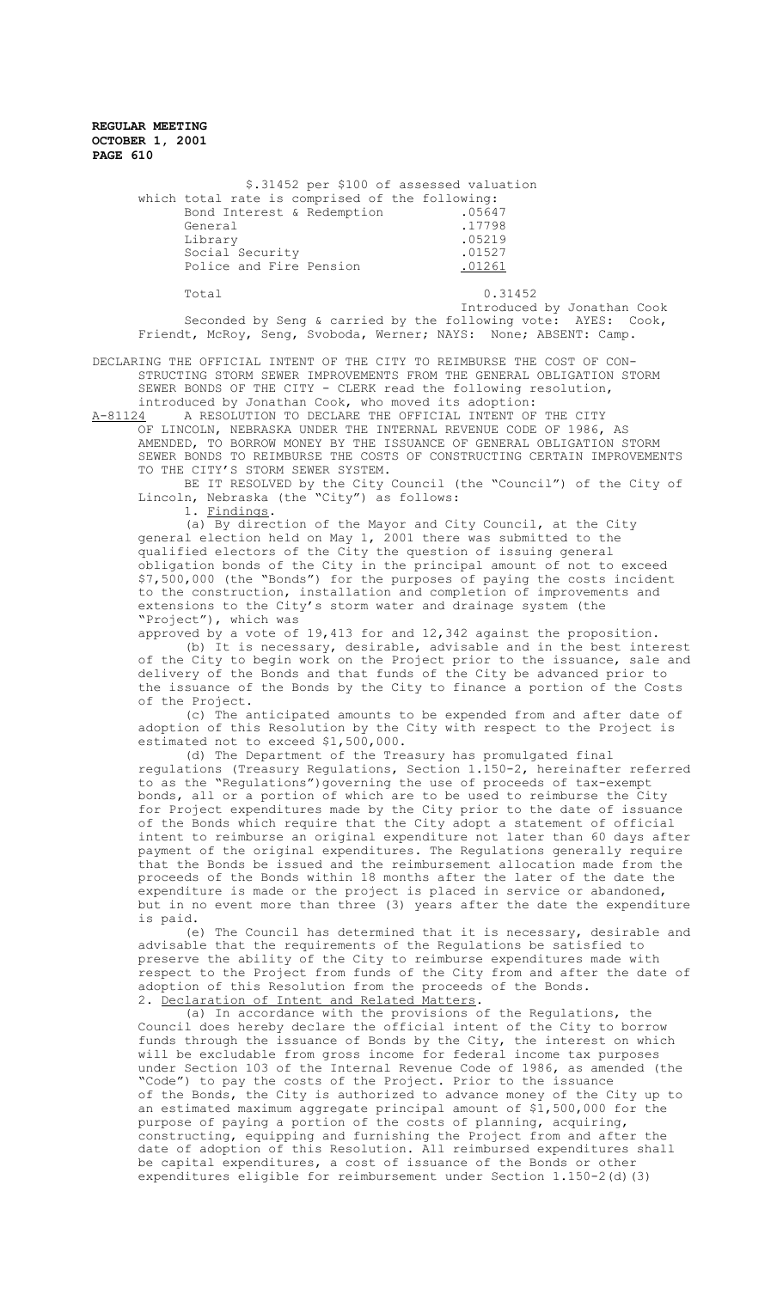| \$.31452 per \$100 of assessed valuation        |         |
|-------------------------------------------------|---------|
| which total rate is comprised of the following: |         |
| Bond Interest & Redemption                      | .05647  |
| General                                         | .17798  |
| Library                                         | .05219  |
| Social Security                                 | .01527  |
| Police and Fire Pension                         | .01261  |
| Total                                           | 0.31452 |

Introduced by Jonathan Cook Seconded by Seng & carried by the following vote: AYES: Cook, Friendt, McRoy, Seng, Svoboda, Werner; NAYS: None; ABSENT: Camp.

DECLARING THE OFFICIAL INTENT OF THE CITY TO REIMBURSE THE COST OF CON-STRUCTING STORM SEWER IMPROVEMENTS FROM THE GENERAL OBLIGATION STORM SEWER BONDS OF THE CITY - CLERK read the following resolution,

introduced by Jonathan Cook, who moved its adoption:<br>A-81124 A RESOLUTION TO DECLARE THE OFFICIAL INTENT OF

A RESOLUTION TO DECLARE THE OFFICIAL INTENT OF THE CITY OF LINCOLN, NEBRASKA UNDER THE INTERNAL REVENUE CODE OF 1986, AS AMENDED, TO BORROW MONEY BY THE ISSUANCE OF GENERAL OBLIGATION STORM SEWER BONDS TO REIMBURSE THE COSTS OF CONSTRUCTING CERTAIN IMPROVEMENTS TO THE CITY'S STORM SEWER SYSTEM.

BE IT RESOLVED by the City Council (the "Council") of the City of Lincoln, Nebraska (the "City") as follows:

1. Findings.

(a) By direction of the Mayor and City Council, at the City general election held on May 1, 2001 there was submitted to the qualified electors of the City the question of issuing general obligation bonds of the City in the principal amount of not to exceed \$7,500,000 (the "Bonds") for the purposes of paying the costs incident to the construction, installation and completion of improvements and extensions to the City's storm water and drainage system (the "Project"), which was

approved by a vote of 19,413 for and 12,342 against the proposition. (b) It is necessary, desirable, advisable and in the best interest of the City to begin work on the Project prior to the issuance, sale and delivery of the Bonds and that funds of the City be advanced prior to the issuance of the Bonds by the City to finance a portion of the Costs of the Project.

(c) The anticipated amounts to be expended from and after date of adoption of this Resolution by the City with respect to the Project is estimated not to exceed \$1,500,000.

(d) The Department of the Treasury has promulgated final regulations (Treasury Regulations, Section 1.150-2, hereinafter referred to as the "Regulations")governing the use of proceeds of tax-exempt bonds, all or a portion of which are to be used to reimburse the City for Project expenditures made by the City prior to the date of issuance of the Bonds which require that the City adopt a statement of official intent to reimburse an original expenditure not later than 60 days after payment of the original expenditures. The Regulations generally require that the Bonds be issued and the reimbursement allocation made from the proceeds of the Bonds within 18 months after the later of the date the expenditure is made or the project is placed in service or abandoned, but in no event more than three (3) years after the date the expenditure is paid.

(e) The Council has determined that it is necessary, desirable and advisable that the requirements of the Regulations be satisfied to preserve the ability of the City to reimburse expenditures made with respect to the Project from funds of the City from and after the date of adoption of this Resolution from the proceeds of the Bonds. 2. Declaration of Intent and Related Matters.

(a) In accordance with the provisions of the Regulations, the Council does hereby declare the official intent of the City to borrow funds through the issuance of Bonds by the City, the interest on which will be excludable from gross income for federal income tax purposes under Section 103 of the Internal Revenue Code of 1986, as amended (the "Code") to pay the costs of the Project. Prior to the issuance of the Bonds, the City is authorized to advance money of the City up to an estimated maximum aggregate principal amount of \$1,500,000 for the purpose of paying a portion of the costs of planning, acquiring, constructing, equipping and furnishing the Project from and after the date of adoption of this Resolution. All reimbursed expenditures shall be capital expenditures, a cost of issuance of the Bonds or other expenditures eligible for reimbursement under Section 1.150-2(d)(3)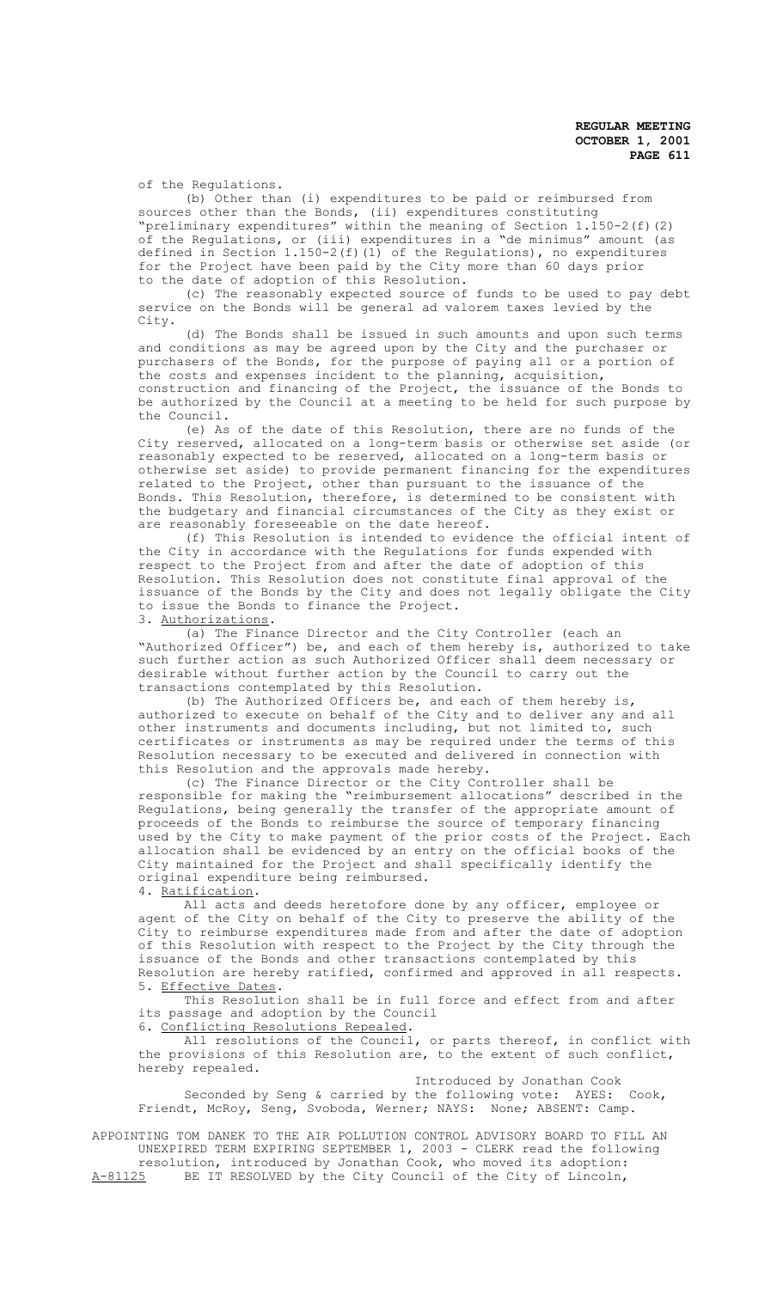of the Regulations.

(b) Other than (i) expenditures to be paid or reimbursed from sources other than the Bonds, (ii) expenditures constituting "preliminary expenditures" within the meaning of Section 1.150-2(f)(2) of the Regulations, or (iii) expenditures in a "de minimus" amount (as defined in Section 1.150-2(f)(1) of the Regulations), no expenditures for the Project have been paid by the City more than 60 days prior to the date of adoption of this Resolution.

(c) The reasonably expected source of funds to be used to pay debt service on the Bonds will be general ad valorem taxes levied by the City.

(d) The Bonds shall be issued in such amounts and upon such terms and conditions as may be agreed upon by the City and the purchaser or purchasers of the Bonds, for the purpose of paying all or a portion of the costs and expenses incident to the planning, acquisition, construction and financing of the Project, the issuance of the Bonds to be authorized by the Council at a meeting to be held for such purpose by the Council.

(e) As of the date of this Resolution, there are no funds of the City reserved, allocated on a long-term basis or otherwise set aside (or reasonably expected to be reserved, allocated on a long-term basis or otherwise set aside) to provide permanent financing for the expenditures related to the Project, other than pursuant to the issuance of the Bonds. This Resolution, therefore, is determined to be consistent with the budgetary and financial circumstances of the City as they exist or are reasonably foreseeable on the date hereof.

(f) This Resolution is intended to evidence the official intent of the City in accordance with the Regulations for funds expended with respect to the Project from and after the date of adoption of this Resolution. This Resolution does not constitute final approval of the issuance of the Bonds by the City and does not legally obligate the City to issue the Bonds to finance the Project. 3. Authorizations.

(a) The Finance Director and the City Controller (each an "Authorized Officer") be, and each of them hereby is, authorized to take such further action as such Authorized Officer shall deem necessary or desirable without further action by the Council to carry out the transactions contemplated by this Resolution.

(b) The Authorized Officers be, and each of them hereby is, authorized to execute on behalf of the City and to deliver any and all other instruments and documents including, but not limited to, such certificates or instruments as may be required under the terms of this Resolution necessary to be executed and delivered in connection with this Resolution and the approvals made hereby.

(c) The Finance Director or the City Controller shall be responsible for making the "reimbursement allocations" described in the Regulations, being generally the transfer of the appropriate amount of proceeds of the Bonds to reimburse the source of temporary financing used by the City to make payment of the prior costs of the Project. Each allocation shall be evidenced by an entry on the official books of the City maintained for the Project and shall specifically identify the original expenditure being reimbursed.

4. Ratification.

All acts and deeds heretofore done by any officer, employee or agent of the City on behalf of the City to preserve the ability of the City to reimburse expenditures made from and after the date of adoption of this Resolution with respect to the Project by the City through the issuance of the Bonds and other transactions contemplated by this Resolution are hereby ratified, confirmed and approved in all respects. 5. Effective Dates.

This Resolution shall be in full force and effect from and after its passage and adoption by the Council 6. Conflicting Resolutions Repealed.

All resolutions of the Council, or parts thereof, in conflict with the provisions of this Resolution are, to the extent of such conflict, hereby repealed.

Introduced by Jonathan Cook Seconded by Seng & carried by the following vote: AYES: Cook, Friendt, McRoy, Seng, Svoboda, Werner; NAYS: None; ABSENT: Camp.

APPOINTING TOM DANEK TO THE AIR POLLUTION CONTROL ADVISORY BOARD TO FILL AN UNEXPIRED TERM EXPIRING SEPTEMBER 1, 2003 - CLERK read the following resolution, introduced by Jonathan Cook, who moved its adoption: A-81125 BE IT RESOLVED by the City Council of the City of Lincoln,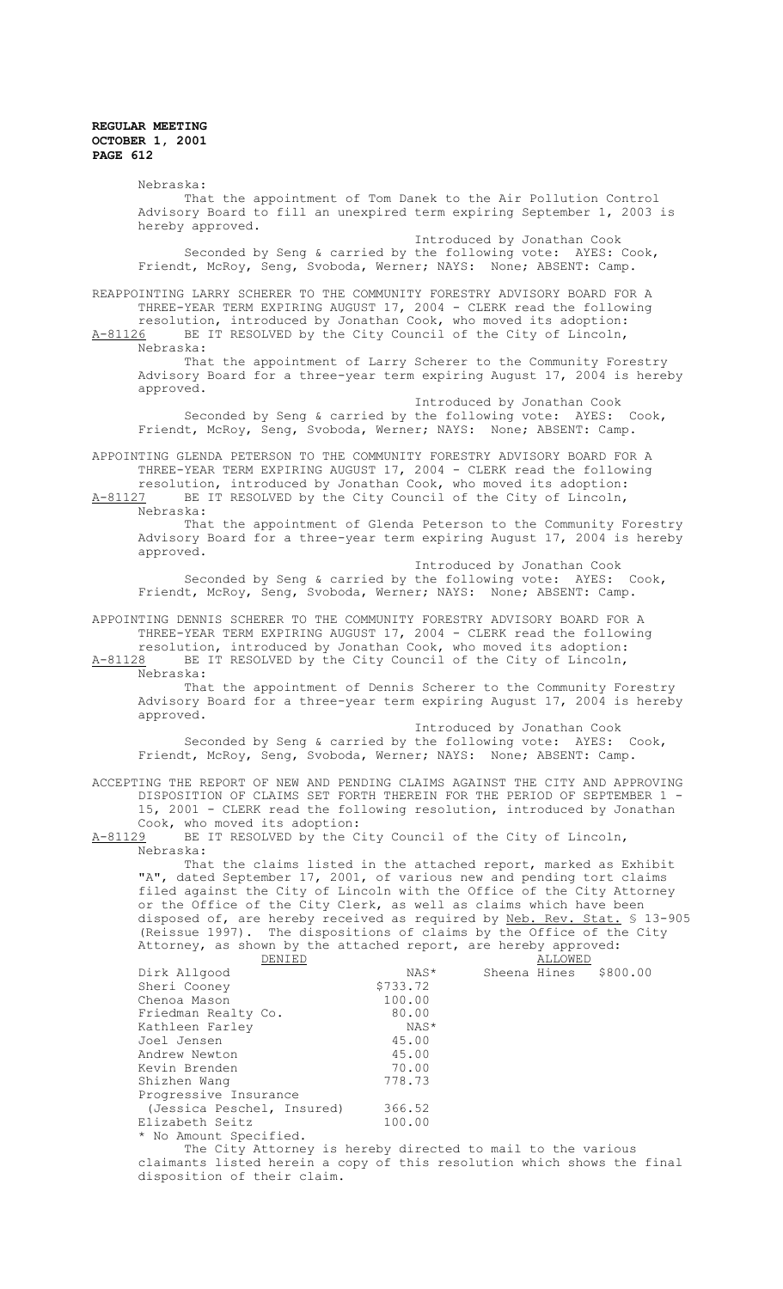Nebraska: That the appointment of Tom Danek to the Air Pollution Control Advisory Board to fill an unexpired term expiring September 1, 2003 is hereby approved. Introduced by Jonathan Cook Seconded by Seng & carried by the following vote: AYES: Cook, Friendt, McRoy, Seng, Svoboda, Werner; NAYS: None; ABSENT: Camp. REAPPOINTING LARRY SCHERER TO THE COMMUNITY FORESTRY ADVISORY BOARD FOR A THREE-YEAR TERM EXPIRING AUGUST 17, 2004 - CLERK read the following resolution, introduced by Jonathan Cook, who moved its adoption: A-81126 BE IT RESOLVED by the City Council of the City of Lincoln, Nebraska: That the appointment of Larry Scherer to the Community Forestry Advisory Board for a three-year term expiring August 17, 2004 is hereby approved. Introduced by Jonathan Cook Seconded by Seng & carried by the following vote: AYES: Cook, Friendt, McRoy, Seng, Svoboda, Werner; NAYS: None; ABSENT: Camp. APPOINTING GLENDA PETERSON TO THE COMMUNITY FORESTRY ADVISORY BOARD FOR A THREE-YEAR TERM EXPIRING AUGUST 17, 2004 - CLERK read the following resolution, introduced by Jonathan Cook, who moved its adoption: A-81127 BE IT RESOLVED by the City Council of the City of Lincoln, Nebraska: That the appointment of Glenda Peterson to the Community Forestry Advisory Board for a three-year term expiring August 17, 2004 is hereby approved. Introduced by Jonathan Cook Seconded by Seng & carried by the following vote: AYES: Cook, Friendt, McRoy, Seng, Svoboda, Werner; NAYS: None; ABSENT: Camp. APPOINTING DENNIS SCHERER TO THE COMMUNITY FORESTRY ADVISORY BOARD FOR A THREE-YEAR TERM EXPIRING AUGUST 17, 2004 - CLERK read the following resolution, introduced by Jonathan Cook, who moved its adoption: A-81128 BE IT RESOLVED by the City Council of the City of Lincoln, Nebraska: That the appointment of Dennis Scherer to the Community Forestry Advisory Board for a three-year term expiring August 17, 2004 is hereby approved. Introduced by Jonathan Cook Seconded by Seng & carried by the following vote: AYES: Cook, Friendt, McRoy, Seng, Svoboda, Werner; NAYS: None; ABSENT: Camp. ACCEPTING THE REPORT OF NEW AND PENDING CLAIMS AGAINST THE CITY AND APPROVING DISPOSITION OF CLAIMS SET FORTH THEREIN FOR THE PERIOD OF SEPTEMBER 1 - 15, 2001 - CLERK read the following resolution, introduced by Jonathan Cook, who moved its adoption: A-81129 BE IT RESOLVED by the City Council of the City of Lincoln, Nebraska: That the claims listed in the attached report, marked as Exhibit "A", dated September 17, 2001, of various new and pending tort claims filed against the City of Lincoln with the Office of the City Attorney or the Office of the City Clerk, as well as claims which have been disposed of, are hereby received as required by Neb. Rev. Stat. § 13-905 (Reissue 1997). The dispositions of claims by the Office of the City Attorney, as shown by the attached report, are hereby approved:<br>DENIED ALLOWED NAS\* Sheena Hines Dirk Allgood NAS\* Sheena Hines \$800.00<br>Sheri Coonev \$733.72 Sheri Cooney Chenoa Mason 100.00<br>
Friedman Realty Co. 30.00 Friedman Realty Co. 80.00 Kathleen Farley 1988 MAS<br>Joel Jensen 1988 MAS Joel Jensen 45.00 Andrew Newton 15.00<br>
Kevin Brenden 170.00 Kevin Brenden Shizhen Wang 778.73 Progressive Insurance (Jessica Peschel, Insured) 366.52<br>100.00 300.00 Elizabeth Seitz \* No Amount Specified. The City Attorney is hereby directed to mail to the various claimants listed herein a copy of this resolution which shows the final disposition of their claim.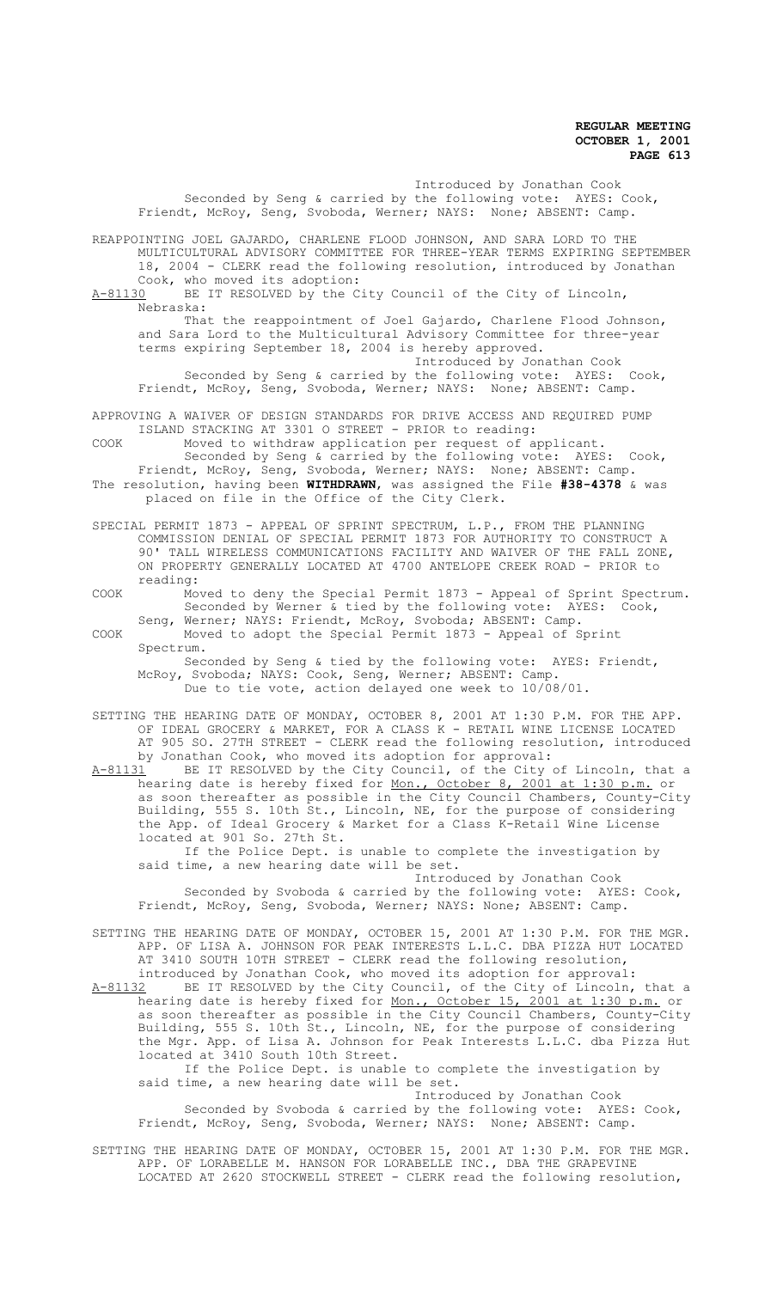Introduced by Jonathan Cook Seconded by Seng & carried by the following vote: AYES: Cook, Friendt, McRoy, Seng, Svoboda, Werner; NAYS: None; ABSENT: Camp. REAPPOINTING JOEL GAJARDO, CHARLENE FLOOD JOHNSON, AND SARA LORD TO THE MULTICULTURAL ADVISORY COMMITTEE FOR THREE-YEAR TERMS EXPIRING SEPTEMBER 18, 2004 - CLERK read the following resolution, introduced by Jonathan Cook, who moved its adoption:<br>A-81130 BE IT RESOLVED by the C BE IT RESOLVED by the City Council of the City of Lincoln, Nebraska: That the reappointment of Joel Gajardo, Charlene Flood Johnson, and Sara Lord to the Multicultural Advisory Committee for three-year terms expiring September 18, 2004 is hereby approved. Introduced by Jonathan Cook Seconded by Seng & carried by the following vote: AYES: Cook, Friendt, McRoy, Seng, Svoboda, Werner; NAYS: None; ABSENT: Camp. APPROVING A WAIVER OF DESIGN STANDARDS FOR DRIVE ACCESS AND REQUIRED PUMP ISLAND STACKING AT 3301 O STREET - PRIOR to reading: COOK Moved to withdraw application per request of applicant. Seconded by Seng & carried by the following vote: AYES: Cook, Friendt, McRoy, Seng, Svoboda, Werner; NAYS: None; ABSENT: Camp. The resolution, having been **WITHDRAWN**, was assigned the File **#38-4378** & was placed on file in the Office of the City Clerk. SPECIAL PERMIT 1873 - APPEAL OF SPRINT SPECTRUM, L.P., FROM THE PLANNING COMMISSION DENIAL OF SPECIAL PERMIT 1873 FOR AUTHORITY TO CONSTRUCT A 90' TALL WIRELESS COMMUNICATIONS FACILITY AND WAIVER OF THE FALL ZONE, ON PROPERTY GENERALLY LOCATED AT 4700 ANTELOPE CREEK ROAD - PRIOR to reading: COOK Moved to deny the Special Permit 1873 - Appeal of Sprint Spectrum. Seconded by Werner & tied by the following vote: AYES: Cook, Seng, Werner; NAYS: Friendt, McRoy, Svoboda; ABSENT: Camp. COOK Moved to adopt the Special Permit 1873 - Appeal of Sprint Spectrum. Seconded by Seng & tied by the following vote: AYES: Friendt, McRoy, Svoboda; NAYS: Cook, Seng, Werner; ABSENT: Camp. Due to tie vote, action delayed one week to 10/08/01. SETTING THE HEARING DATE OF MONDAY, OCTOBER 8, 2001 AT 1:30 P.M. FOR THE APP. OF IDEAL GROCERY & MARKET, FOR A CLASS K - RETAIL WINE LICENSE LOCATED AT 905 SO. 27TH STREET - CLERK read the following resolution, introduced

by Jonathan Cook, who moved its adoption for approval:<br>A-81131 BE IT RESOLVED by the City Council, of the City BE IT RESOLVED by the City Council, of the City of Lincoln, that a hearing date is hereby fixed for <u>Mon., October 8, 2001 at 1:30 p.m.</u> or as soon thereafter as possible in the City Council Chambers, County-City Building, 555 S. 10th St., Lincoln, NE, for the purpose of considering the App. of Ideal Grocery & Market for a Class K-Retail Wine License located at 901 So. 27th St.

If the Police Dept. is unable to complete the investigation by said time, a new hearing date will be set.

Introduced by Jonathan Cook Seconded by Svoboda & carried by the following vote: AYES: Cook, Friendt, McRoy, Seng, Svoboda, Werner; NAYS: None; ABSENT: Camp.

SETTING THE HEARING DATE OF MONDAY, OCTOBER 15, 2001 AT 1:30 P.M. FOR THE MGR. APP. OF LISA A. JOHNSON FOR PEAK INTERESTS L.L.C. DBA PIZZA HUT LOCATED AT 3410 SOUTH 10TH STREET - CLERK read the following resolution, introduced by Jonathan Cook, who moved its adoption for approval:

A-81132 BE IT RESOLVED by the City Council, of the City of Lincoln, that a hearing date is hereby fixed for Mon., October 15, 2001 at 1:30 p.m. or as soon thereafter as possible in the City Council Chambers, County-City Building, 555 S. 10th St., Lincoln, NE, for the purpose of considering the Mgr. App. of Lisa A. Johnson for Peak Interests L.L.C. dba Pizza Hut located at 3410 South 10th Street.

If the Police Dept. is unable to complete the investigation by said time, a new hearing date will be set.

Introduced by Jonathan Cook Seconded by Svoboda & carried by the following vote: AYES: Cook, Friendt, McRoy, Seng, Svoboda, Werner; NAYS: None; ABSENT: Camp.

SETTING THE HEARING DATE OF MONDAY, OCTOBER 15, 2001 AT 1:30 P.M. FOR THE MGR. APP. OF LORABELLE M. HANSON FOR LORABELLE INC., DBA THE GRAPEVINE LOCATED AT 2620 STOCKWELL STREET - CLERK read the following resolution,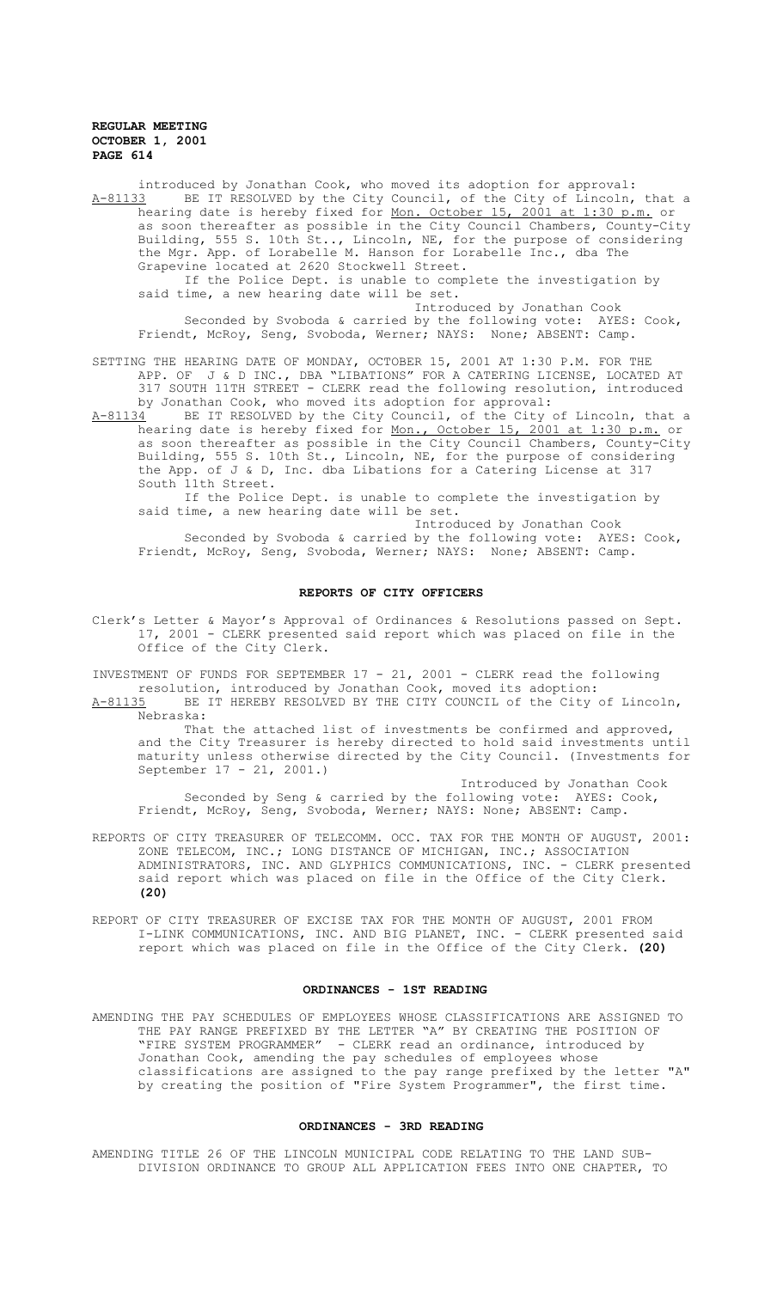introduced by Jonathan Cook, who moved its adoption for approval: A-81133 BE IT RESOLVED by the City Council, of the City of Lincoln, that a hearing date is hereby fixed for <u>Mon. October 15, 2001 at 1:30 p.m.</u> or as soon thereafter as possible in the City Council Chambers, County-City Building, 555 S. 10th St.., Lincoln, NE, for the purpose of considering the Mgr. App. of Lorabelle M. Hanson for Lorabelle Inc., dba The Grapevine located at 2620 Stockwell Street.

If the Police Dept. is unable to complete the investigation by said time, a new hearing date will be set.

Introduced by Jonathan Cook Seconded by Svoboda & carried by the following vote: AYES: Cook,

Friendt, McRoy, Seng, Svoboda, Werner; NAYS: None; ABSENT: Camp.

SETTING THE HEARING DATE OF MONDAY, OCTOBER 15, 2001 AT 1:30 P.M. FOR THE APP. OF J & D INC., DBA "LIBATIONS" FOR A CATERING LICENSE, LOCATED AT 317 SOUTH 11TH STREET - CLERK read the following resolution, introduced by Jonathan Cook, who moved its adoption for approval:<br>A-81134 BE IT RESOLVED by the City Council, of the City

A-81134 BE IT RESOLVED by the City Council, of the City of Lincoln, that a hearing date is hereby fixed for Mon., October 15, 2001 at 1:30 p.m. or as soon thereafter as possible in the City Council Chambers, County-City Building, 555 S. 10th St., Lincoln, NE, for the purpose of considering the App. of J & D, Inc. dba Libations for a Catering License at 317 South 11th Street.

If the Police Dept. is unable to complete the investigation by said time, a new hearing date will be set.

Introduced by Jonathan Cook

Seconded by Svoboda & carried by the following vote: AYES: Cook, Friendt, McRoy, Seng, Svoboda, Werner; NAYS: None; ABSENT: Camp.

## **REPORTS OF CITY OFFICERS**

Clerk's Letter & Mayor's Approval of Ordinances & Resolutions passed on Sept. 17, 2001 - CLERK presented said report which was placed on file in the Office of the City Clerk.

INVESTMENT OF FUNDS FOR SEPTEMBER 17 - 21, 2001 - CLERK read the following resolution, introduced by Jonathan Cook, moved its adoption:

A-81135 BE IT HEREBY RESOLVED BY THE CITY COUNCIL of the City of Lincoln, Nebraska:

That the attached list of investments be confirmed and approved, and the City Treasurer is hereby directed to hold said investments until maturity unless otherwise directed by the City Council. (Investments for September 17 - 21, 2001.)

Introduced by Jonathan Cook Seconded by Seng & carried by the following vote: AYES: Cook, Friendt, McRoy, Seng, Svoboda, Werner; NAYS: None; ABSENT: Camp.

- REPORTS OF CITY TREASURER OF TELECOMM. OCC. TAX FOR THE MONTH OF AUGUST, 2001: ZONE TELECOM, INC.; LONG DISTANCE OF MICHIGAN, INC.; ASSOCIATION ADMINISTRATORS, INC. AND GLYPHICS COMMUNICATIONS, INC. - CLERK presented said report which was placed on file in the Office of the City Clerk. **(20)**
- REPORT OF CITY TREASURER OF EXCISE TAX FOR THE MONTH OF AUGUST, 2001 FROM I-LINK COMMUNICATIONS, INC. AND BIG PLANET, INC. - CLERK presented said report which was placed on file in the Office of the City Clerk. **(20)**

## **ORDINANCES - 1ST READING**

AMENDING THE PAY SCHEDULES OF EMPLOYEES WHOSE CLASSIFICATIONS ARE ASSIGNED TO THE PAY RANGE PREFIXED BY THE LETTER "A" BY CREATING THE POSITION OF "FIRE SYSTEM PROGRAMMER" - CLERK read an ordinance, introduced by Jonathan Cook, amending the pay schedules of employees whose classifications are assigned to the pay range prefixed by the letter "A" by creating the position of "Fire System Programmer", the first time.

## **ORDINANCES - 3RD READING**

AMENDING TITLE 26 OF THE LINCOLN MUNICIPAL CODE RELATING TO THE LAND SUB-DIVISION ORDINANCE TO GROUP ALL APPLICATION FEES INTO ONE CHAPTER, TO